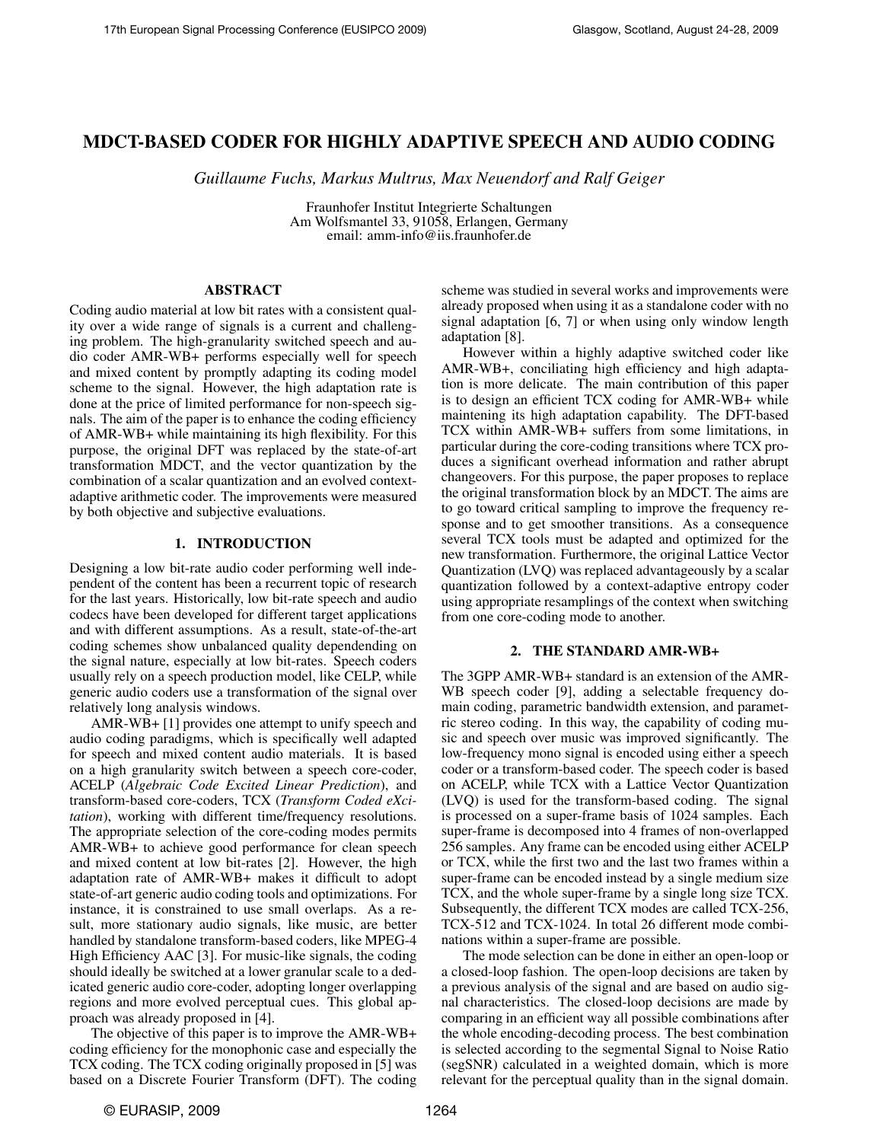# MDCT-BASED CODER FOR HIGHLY ADAPTIVE SPEECH AND AUDIO CODING

*Guillaume Fuchs, Markus Multrus, Max Neuendorf and Ralf Geiger*

Fraunhofer Institut Integrierte Schaltungen Am Wolfsmantel 33, 91058, Erlangen, Germany email: amm-info@iis.fraunhofer.de

# ABSTRACT

Coding audio material at low bit rates with a consistent quality over a wide range of signals is a current and challenging problem. The high-granularity switched speech and audio coder AMR-WB+ performs especially well for speech and mixed content by promptly adapting its coding model scheme to the signal. However, the high adaptation rate is done at the price of limited performance for non-speech signals. The aim of the paper is to enhance the coding efficiency of AMR-WB+ while maintaining its high flexibility. For this purpose, the original DFT was replaced by the state-of-art transformation MDCT, and the vector quantization by the combination of a scalar quantization and an evolved contextadaptive arithmetic coder. The improvements were measured by both objective and subjective evaluations.

#### 1. INTRODUCTION

Designing a low bit-rate audio coder performing well independent of the content has been a recurrent topic of research for the last years. Historically, low bit-rate speech and audio codecs have been developed for different target applications and with different assumptions. As a result, state-of-the-art coding schemes show unbalanced quality dependending on the signal nature, especially at low bit-rates. Speech coders usually rely on a speech production model, like CELP, while generic audio coders use a transformation of the signal over relatively long analysis windows.

AMR-WB+ [1] provides one attempt to unify speech and audio coding paradigms, which is specifically well adapted for speech and mixed content audio materials. It is based on a high granularity switch between a speech core-coder, ACELP (*Algebraic Code Excited Linear Prediction*), and transform-based core-coders, TCX (*Transform Coded eXcitation*), working with different time/frequency resolutions. The appropriate selection of the core-coding modes permits AMR-WB+ to achieve good performance for clean speech and mixed content at low bit-rates [2]. However, the high adaptation rate of AMR-WB+ makes it difficult to adopt state-of-art generic audio coding tools and optimizations. For instance, it is constrained to use small overlaps. As a result, more stationary audio signals, like music, are better handled by standalone transform-based coders, like MPEG-4 High Efficiency AAC [3]. For music-like signals, the coding should ideally be switched at a lower granular scale to a dedicated generic audio core-coder, adopting longer overlapping regions and more evolved perceptual cues. This global approach was already proposed in [4].

The objective of this paper is to improve the AMR-WB+ coding efficiency for the monophonic case and especially the TCX coding. The TCX coding originally proposed in [5] was based on a Discrete Fourier Transform (DFT). The coding scheme was studied in several works and improvements were already proposed when using it as a standalone coder with no signal adaptation [6, 7] or when using only window length adaptation [8].

However within a highly adaptive switched coder like AMR-WB+, conciliating high efficiency and high adaptation is more delicate. The main contribution of this paper is to design an efficient TCX coding for AMR-WB+ while maintening its high adaptation capability. The DFT-based TCX within AMR-WB+ suffers from some limitations, in particular during the core-coding transitions where TCX produces a significant overhead information and rather abrupt changeovers. For this purpose, the paper proposes to replace the original transformation block by an MDCT. The aims are to go toward critical sampling to improve the frequency response and to get smoother transitions. As a consequence several TCX tools must be adapted and optimized for the new transformation. Furthermore, the original Lattice Vector Quantization (LVQ) was replaced advantageously by a scalar quantization followed by a context-adaptive entropy coder using appropriate resamplings of the context when switching from one core-coding mode to another.

# 2. THE STANDARD AMR-WB+

The 3GPP AMR-WB+ standard is an extension of the AMR-WB speech coder [9], adding a selectable frequency domain coding, parametric bandwidth extension, and parametric stereo coding. In this way, the capability of coding music and speech over music was improved significantly. The low-frequency mono signal is encoded using either a speech coder or a transform-based coder. The speech coder is based on ACELP, while TCX with a Lattice Vector Quantization (LVQ) is used for the transform-based coding. The signal is processed on a super-frame basis of 1024 samples. Each super-frame is decomposed into 4 frames of non-overlapped 256 samples. Any frame can be encoded using either ACELP or TCX, while the first two and the last two frames within a super-frame can be encoded instead by a single medium size TCX, and the whole super-frame by a single long size TCX. Subsequently, the different TCX modes are called TCX-256, TCX-512 and TCX-1024. In total 26 different mode combinations within a super-frame are possible.

The mode selection can be done in either an open-loop or a closed-loop fashion. The open-loop decisions are taken by a previous analysis of the signal and are based on audio signal characteristics. The closed-loop decisions are made by comparing in an efficient way all possible combinations after the whole encoding-decoding process. The best combination is selected according to the segmental Signal to Noise Ratio (segSNR) calculated in a weighted domain, which is more relevant for the perceptual quality than in the signal domain.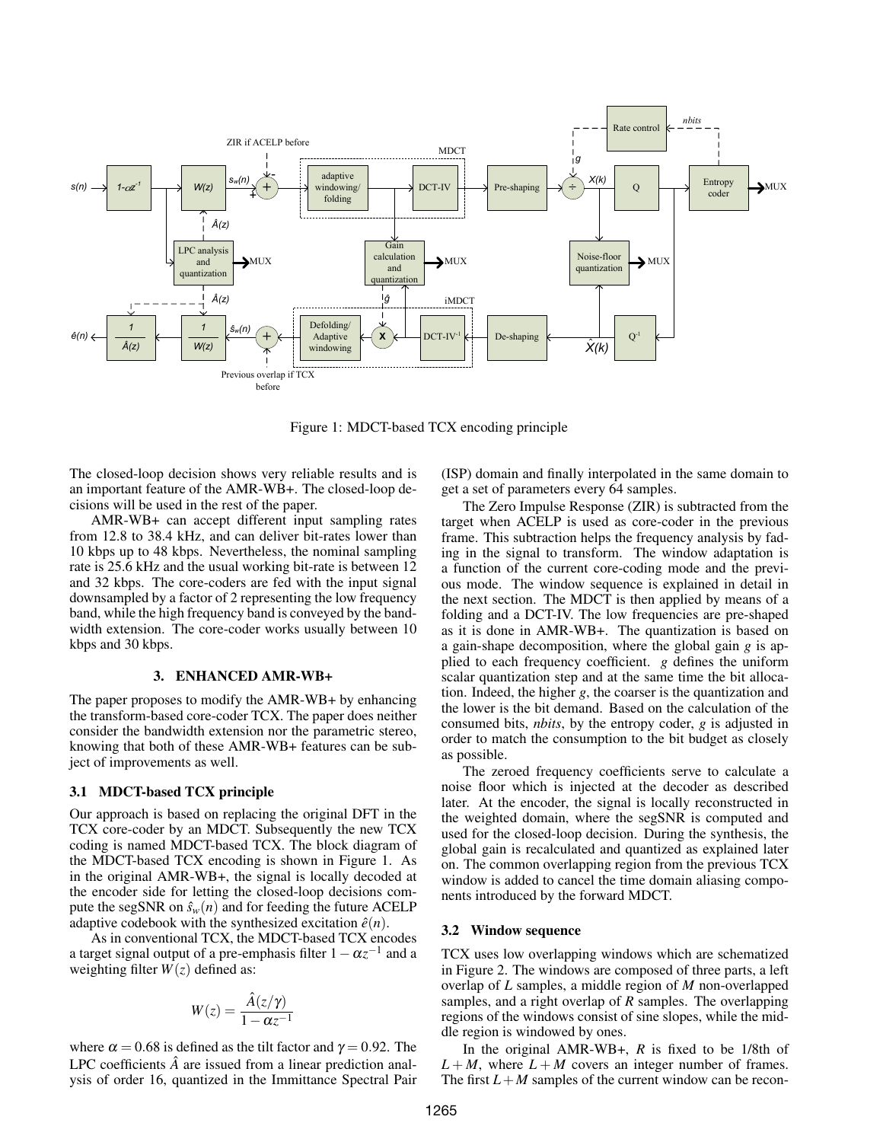

Figure 1: MDCT-based TCX encoding principle

The closed-loop decision shows very reliable results and is an important feature of the AMR-WB+. The closed-loop decisions will be used in the rest of the paper.

AMR-WB+ can accept different input sampling rates from 12.8 to 38.4 kHz, and can deliver bit-rates lower than 10 kbps up to 48 kbps. Nevertheless, the nominal sampling rate is 25.6 kHz and the usual working bit-rate is between 12 and 32 kbps. The core-coders are fed with the input signal downsampled by a factor of 2 representing the low frequency band, while the high frequency band is conveyed by the bandwidth extension. The core-coder works usually between 10 kbps and 30 kbps.

#### 3. ENHANCED AMR-WB+

The paper proposes to modify the AMR-WB+ by enhancing the transform-based core-coder TCX. The paper does neither consider the bandwidth extension nor the parametric stereo, knowing that both of these AMR-WB+ features can be subject of improvements as well.

# 3.1 MDCT-based TCX principle

Our approach is based on replacing the original DFT in the TCX core-coder by an MDCT. Subsequently the new TCX coding is named MDCT-based TCX. The block diagram of the MDCT-based TCX encoding is shown in Figure 1. As in the original AMR-WB+, the signal is locally decoded at the encoder side for letting the closed-loop decisions compute the segSNR on  $\hat{s}_w(n)$  and for feeding the future ACELP adaptive codebook with the synthesized excitation  $\hat{e}(n)$ .

As in conventional TCX, the MDCT-based TCX encodes a target signal output of a pre-emphasis filter  $1 - \alpha z^{-1}$  and a weighting filter  $W(z)$  defined as:

$$
W(z) = \frac{\hat{A}(z/\gamma)}{1 - \alpha z^{-1}}
$$

where  $\alpha = 0.68$  is defined as the tilt factor and  $\gamma = 0.92$ . The LPC coefficients  $\hat{A}$  are issued from a linear prediction analysis of order 16, quantized in the Immittance Spectral Pair (ISP) domain and finally interpolated in the same domain to get a set of parameters every 64 samples.

The Zero Impulse Response (ZIR) is subtracted from the target when ACELP is used as core-coder in the previous frame. This subtraction helps the frequency analysis by fading in the signal to transform. The window adaptation is a function of the current core-coding mode and the previous mode. The window sequence is explained in detail in the next section. The MDCT is then applied by means of a folding and a DCT-IV. The low frequencies are pre-shaped as it is done in AMR-WB+. The quantization is based on a gain-shape decomposition, where the global gain *g* is applied to each frequency coefficient. *g* defines the uniform scalar quantization step and at the same time the bit allocation. Indeed, the higher *g*, the coarser is the quantization and the lower is the bit demand. Based on the calculation of the consumed bits, *nbits*, by the entropy coder, *g* is adjusted in order to match the consumption to the bit budget as closely as possible.

The zeroed frequency coefficients serve to calculate a noise floor which is injected at the decoder as described later. At the encoder, the signal is locally reconstructed in the weighted domain, where the segSNR is computed and used for the closed-loop decision. During the synthesis, the global gain is recalculated and quantized as explained later on. The common overlapping region from the previous TCX window is added to cancel the time domain aliasing components introduced by the forward MDCT.

#### 3.2 Window sequence

TCX uses low overlapping windows which are schematized in Figure 2. The windows are composed of three parts, a left overlap of *L* samples, a middle region of *M* non-overlapped samples, and a right overlap of *R* samples. The overlapping regions of the windows consist of sine slopes, while the middle region is windowed by ones.

In the original AMR-WB+, *R* is fixed to be 1/8th of  $L + M$ , where  $L + M$  covers an integer number of frames. The first  $L+M$  samples of the current window can be recon-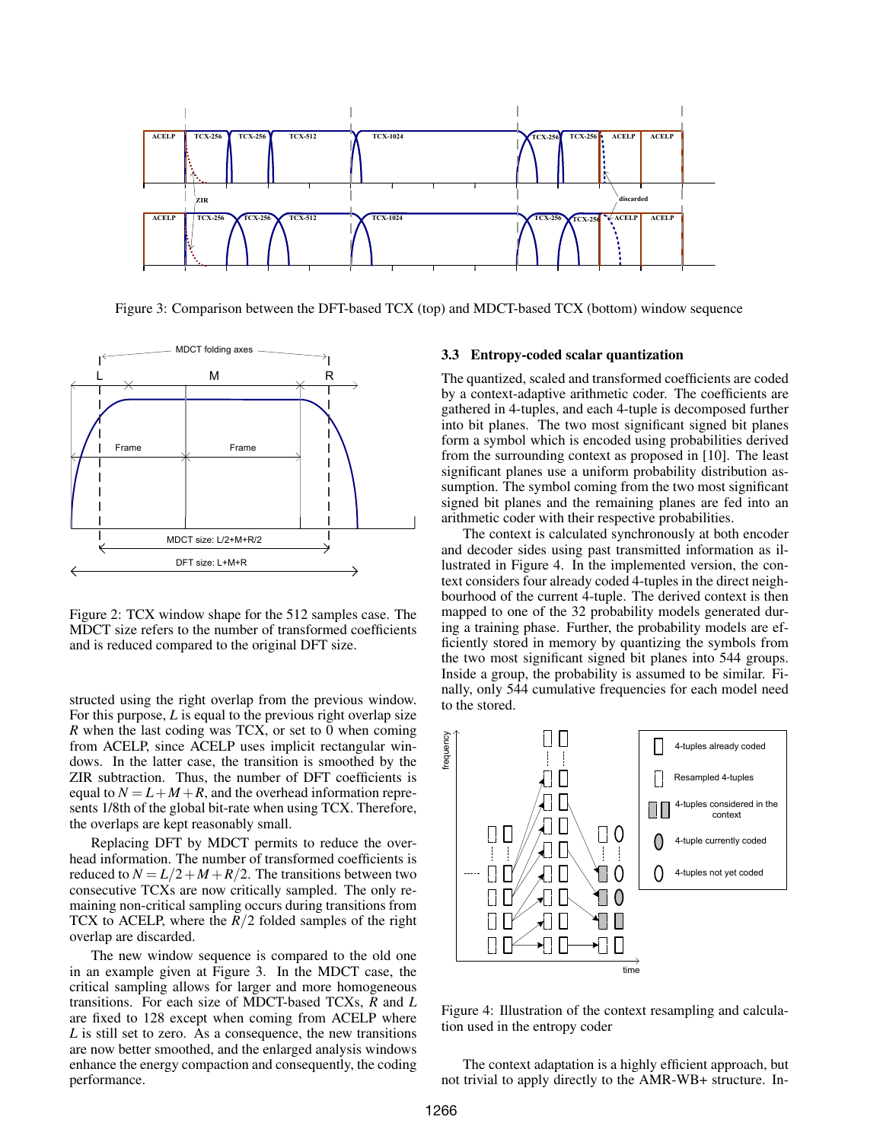

Figure 3: Comparison between the DFT-based TCX (top) and MDCT-based TCX (bottom) window sequence



Figure 2: TCX window shape for the 512 samples case. The MDCT size refers to the number of transformed coefficients and is reduced compared to the original DFT size.

structed using the right overlap from the previous window. For this purpose, *L* is equal to the previous right overlap size *R* when the last coding was TCX, or set to 0 when coming from ACELP, since ACELP uses implicit rectangular windows. In the latter case, the transition is smoothed by the ZIR subtraction. Thus, the number of DFT coefficients is equal to  $N = L + M + R$ , and the overhead information represents 1/8th of the global bit-rate when using TCX. Therefore, the overlaps are kept reasonably small.

Replacing DFT by MDCT permits to reduce the overhead information. The number of transformed coefficients is reduced to  $N = L/2 + M + R/2$ . The transitions between two consecutive TCXs are now critically sampled. The only remaining non-critical sampling occurs during transitions from TCX to ACELP, where the  $R/2$  folded samples of the right overlap are discarded.

The new window sequence is compared to the old one in an example given at Figure 3. In the MDCT case, the critical sampling allows for larger and more homogeneous transitions. For each size of MDCT-based TCXs, *R* and *L* are fixed to 128 except when coming from ACELP where *L* is still set to zero. As a consequence, the new transitions are now better smoothed, and the enlarged analysis windows enhance the energy compaction and consequently, the coding performance.

## 3.3 Entropy-coded scalar quantization

The quantized, scaled and transformed coefficients are coded by a context-adaptive arithmetic coder. The coefficients are gathered in 4-tuples, and each 4-tuple is decomposed further into bit planes. The two most significant signed bit planes form a symbol which is encoded using probabilities derived from the surrounding context as proposed in [10]. The least significant planes use a uniform probability distribution assumption. The symbol coming from the two most significant signed bit planes and the remaining planes are fed into an arithmetic coder with their respective probabilities.

The context is calculated synchronously at both encoder and decoder sides using past transmitted information as illustrated in Figure 4. In the implemented version, the context considers four already coded 4-tuples in the direct neighbourhood of the current 4-tuple. The derived context is then mapped to one of the 32 probability models generated during a training phase. Further, the probability models are efficiently stored in memory by quantizing the symbols from the two most significant signed bit planes into 544 groups. Inside a group, the probability is assumed to be similar. Finally, only 544 cumulative frequencies for each model need to the stored.



Figure 4: Illustration of the context resampling and calculation used in the entropy coder

The context adaptation is a highly efficient approach, but not trivial to apply directly to the AMR-WB+ structure. In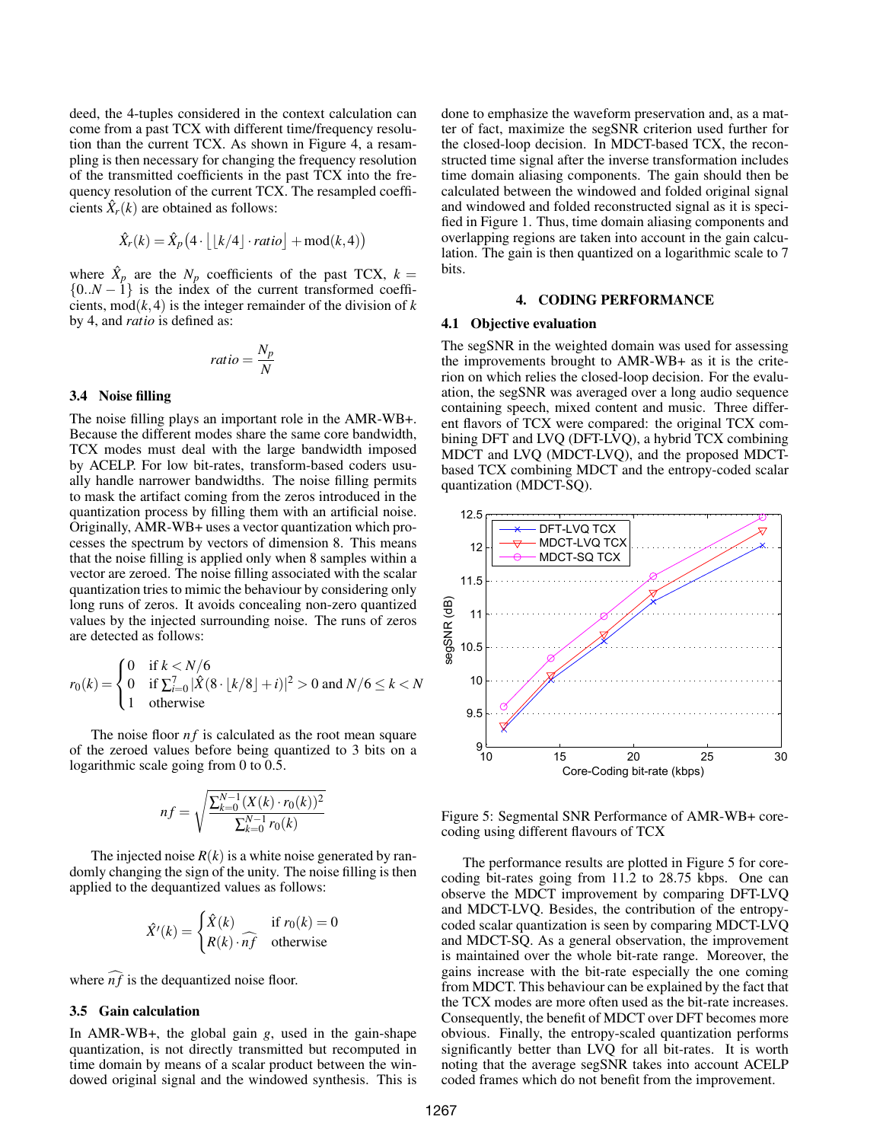deed, the 4-tuples considered in the context calculation can come from a past TCX with different time/frequency resolution than the current TCX. As shown in Figure 4, a resampling is then necessary for changing the frequency resolution of the transmitted coefficients in the past TCX into the frequency resolution of the current TCX. The resampled coefficients  $\hat{X}_r(k)$  are obtained as follows:

$$
\hat{X}_r(k) = \hat{X}_p\left(4 \cdot \lfloor k/4 \rfloor \cdot ratio \rfloor + mod(k, 4)\right)
$$

where  $\hat{X}_p$  are the  $N_p$  coefficients of the past TCX,  $k =$  ${0..N-1}$  is the index of the current transformed coefficients, mod $(k, 4)$  is the integer remainder of the division of  $k$ by 4, and *ratio* is defined as:

$$
ratio = \frac{N_p}{N}
$$

# 3.4 Noise filling

The noise filling plays an important role in the AMR-WB+. Because the different modes share the same core bandwidth, TCX modes must deal with the large bandwidth imposed by ACELP. For low bit-rates, transform-based coders usually handle narrower bandwidths. The noise filling permits to mask the artifact coming from the zeros introduced in the quantization process by filling them with an artificial noise. Originally, AMR-WB+ uses a vector quantization which processes the spectrum by vectors of dimension 8. This means that the noise filling is applied only when 8 samples within a vector are zeroed. The noise filling associated with the scalar quantization tries to mimic the behaviour by considering only long runs of zeros. It avoids concealing non-zero quantized values by the injected surrounding noise. The runs of zeros are detected as follows:

$$
r_0(k) = \begin{cases} 0 & \text{if } k < N/6 \\ 0 & \text{if } \sum_{i=0}^7 |\hat{X}(8 \cdot \lfloor k/8 \rfloor + i)|^2 > 0 \text{ and } N/6 \le k < N \\ 1 & \text{otherwise} \end{cases}
$$

The noise floor  $nf$  is calculated as the root mean square of the zeroed values before being quantized to 3 bits on a logarithmic scale going from 0 to 0.5.

$$
nf = \sqrt{\frac{\sum_{k=0}^{N-1} (X(k) \cdot r_0(k))^2}{\sum_{k=0}^{N-1} r_0(k)}}
$$

The injected noise  $R(k)$  is a white noise generated by randomly changing the sign of the unity. The noise filling is then applied to the dequantized values as follows:

$$
\hat{X}'(k) = \begin{cases} \hat{X}(k) & \text{if } r_0(k) = 0\\ R(k) \cdot \widehat{n}f & \text{otherwise} \end{cases}
$$

where  $n\hat{f}$  is the dequantized noise floor.

## 3.5 Gain calculation

In AMR-WB+, the global gain *g*, used in the gain-shape quantization, is not directly transmitted but recomputed in time domain by means of a scalar product between the windowed original signal and the windowed synthesis. This is done to emphasize the waveform preservation and, as a matter of fact, maximize the segSNR criterion used further for the closed-loop decision. In MDCT-based TCX, the reconstructed time signal after the inverse transformation includes time domain aliasing components. The gain should then be calculated between the windowed and folded original signal and windowed and folded reconstructed signal as it is specified in Figure 1. Thus, time domain aliasing components and overlapping regions are taken into account in the gain calculation. The gain is then quantized on a logarithmic scale to 7 bits.

#### 4. CODING PERFORMANCE

## 4.1 Objective evaluation

The segSNR in the weighted domain was used for assessing the improvements brought to AMR-WB+ as it is the criterion on which relies the closed-loop decision. For the evaluation, the segSNR was averaged over a long audio sequence containing speech, mixed content and music. Three different flavors of TCX were compared: the original TCX combining DFT and LVQ (DFT-LVQ), a hybrid TCX combining MDCT and LVQ (MDCT-LVQ), and the proposed MDCTbased TCX combining MDCT and the entropy-coded scalar quantization (MDCT-SQ).



Figure 5: Segmental SNR Performance of AMR-WB+ corecoding using different flavours of TCX

The performance results are plotted in Figure 5 for corecoding bit-rates going from 11.2 to 28.75 kbps. One can observe the MDCT improvement by comparing DFT-LVQ and MDCT-LVQ. Besides, the contribution of the entropycoded scalar quantization is seen by comparing MDCT-LVQ and MDCT-SQ. As a general observation, the improvement is maintained over the whole bit-rate range. Moreover, the gains increase with the bit-rate especially the one coming from MDCT. This behaviour can be explained by the fact that the TCX modes are more often used as the bit-rate increases. Consequently, the benefit of MDCT over DFT becomes more obvious. Finally, the entropy-scaled quantization performs significantly better than LVQ for all bit-rates. It is worth noting that the average segSNR takes into account ACELP coded frames which do not benefit from the improvement.